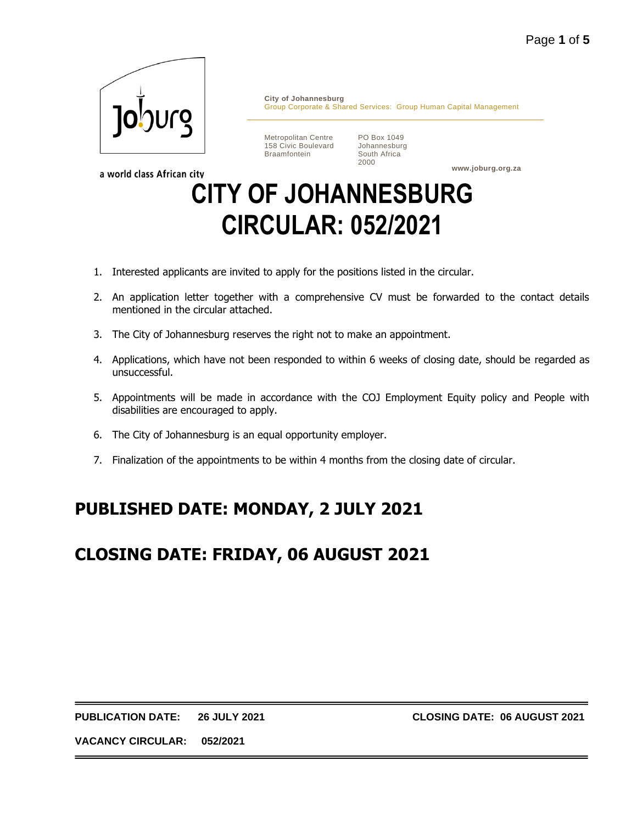

a world class African city

**City of Johannesburg** Group Corporate & Shared Services: Group Human Capital Management

Metropolitan Centre 158 Civic Boulevard Braamfontein

PO Box 1049 Johannesburg South Africa 2000

**www.joburg.org.za**

# **CITY OF JOHANNESBURG CIRCULAR: 052/2021**

- 1. Interested applicants are invited to apply for the positions listed in the circular.
- 2. An application letter together with a comprehensive CV must be forwarded to the contact details mentioned in the circular attached.
- 3. The City of Johannesburg reserves the right not to make an appointment.
- 4. Applications, which have not been responded to within 6 weeks of closing date, should be regarded as unsuccessful.
- 5. Appointments will be made in accordance with the COJ Employment Equity policy and People with disabilities are encouraged to apply.
- 6. The City of Johannesburg is an equal opportunity employer.
- 7. Finalization of the appointments to be within 4 months from the closing date of circular.

## **PUBLISHED DATE: MONDAY, 2 JULY 2021**

## **CLOSING DATE: FRIDAY, 06 AUGUST 2021**

**PUBLICATION DATE: 26 JULY 2021 CLOSING DATE: 06 AUGUST 2021**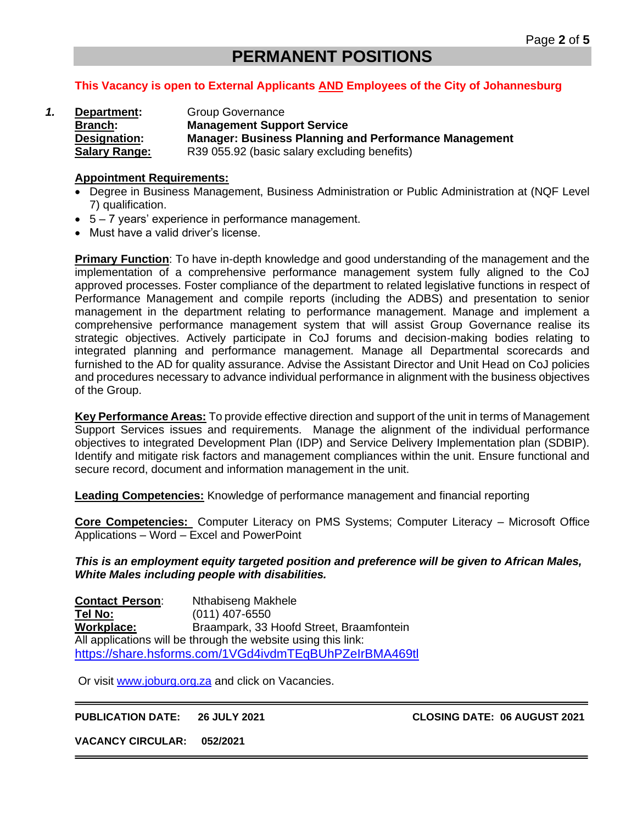### **PERMANENT POSITIONS**

#### **This Vacancy is open to External Applicants AND Employees of the City of Johannesburg**

*1.* **Department:** Group Governance **Branch: Management Support Service Designation: Manager: Business Planning and Performance Management Salary Range:** R39 055.92 (basic salary excluding benefits)

#### **Appointment Requirements:**

- Degree in Business Management, Business Administration or Public Administration at (NQF Level 7) qualification.
- 5 7 years' experience in performance management.
- Must have a valid driver's license.

**Primary Function**: To have in-depth knowledge and good understanding of the management and the implementation of a comprehensive performance management system fully aligned to the CoJ approved processes. Foster compliance of the department to related legislative functions in respect of Performance Management and compile reports (including the ADBS) and presentation to senior management in the department relating to performance management. Manage and implement a comprehensive performance management system that will assist Group Governance realise its strategic objectives. Actively participate in CoJ forums and decision-making bodies relating to integrated planning and performance management. Manage all Departmental scorecards and furnished to the AD for quality assurance. Advise the Assistant Director and Unit Head on CoJ policies and procedures necessary to advance individual performance in alignment with the business objectives of the Group.

**Key Performance Areas:** To provide effective direction and support of the unit in terms of Management Support Services issues and requirements. Manage the alignment of the individual performance objectives to integrated Development Plan (IDP) and Service Delivery Implementation plan (SDBIP). Identify and mitigate risk factors and management compliances within the unit. Ensure functional and secure record, document and information management in the unit.

**Leading Competencies:** Knowledge of performance management and financial reporting

**Core Competencies:** Computer Literacy on PMS Systems; Computer Literacy – Microsoft Office Applications – Word – Excel and PowerPoint

*This is an employment equity targeted position and preference will be given to African Males, White Males including people with disabilities.*

**Contact Person**: Nthabiseng Makhele **Tel No:** (011) 407-6550 **Workplace:** Braampark, 33 Hoofd Street, Braamfontein All applications will be through the website using this link: <https://share.hsforms.com/1VGd4ivdmTEqBUhPZeIrBMA469tl>

Or visit [www.joburg.org.za](http://www.joburg.org.za/) and click on Vacancies.

**PUBLICATION DATE: 26 JULY 2021 CLOSING DATE: 06 AUGUST 2021**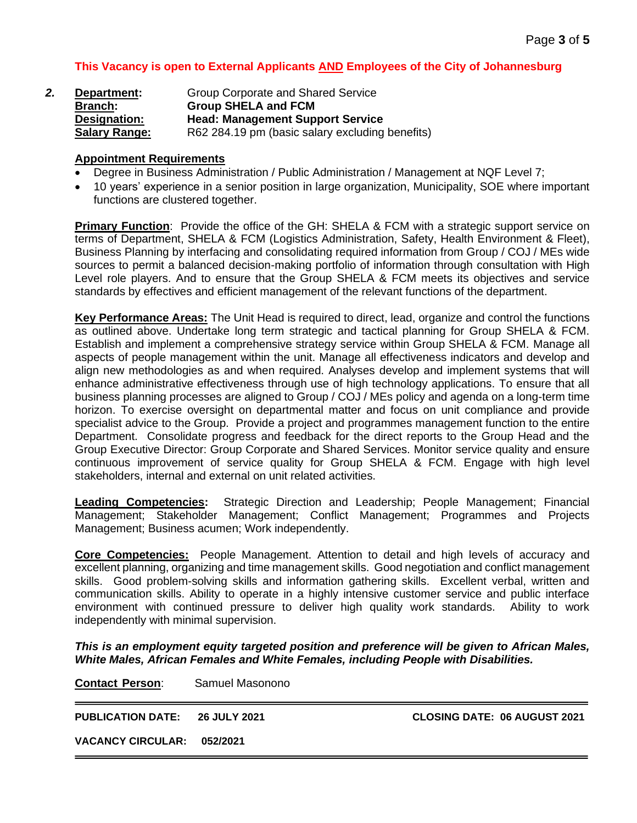#### **This Vacancy is open to External Applicants AND Employees of the City of Johannesburg**

| 2. | Department:          | Group Corporate and Shared Service              |
|----|----------------------|-------------------------------------------------|
|    | <b>Branch:</b>       | <b>Group SHELA and FCM</b>                      |
|    | Designation:         | <b>Head: Management Support Service</b>         |
|    | <b>Salary Range:</b> | R62 284.19 pm (basic salary excluding benefits) |

#### **Appointment Requirements**

- Degree in Business Administration / Public Administration / Management at NQF Level 7;
- 10 years' experience in a senior position in large organization, Municipality, SOE where important functions are clustered together.

**Primary Function**: Provide the office of the GH: SHELA & FCM with a strategic support service on terms of Department, SHELA & FCM (Logistics Administration, Safety, Health Environment & Fleet), Business Planning by interfacing and consolidating required information from Group / COJ / MEs wide sources to permit a balanced decision-making portfolio of information through consultation with High Level role players. And to ensure that the Group SHELA & FCM meets its objectives and service standards by effectives and efficient management of the relevant functions of the department.

**Key Performance Areas:** The Unit Head is required to direct, lead, organize and control the functions as outlined above. Undertake long term strategic and tactical planning for Group SHELA & FCM. Establish and implement a comprehensive strategy service within Group SHELA & FCM. Manage all aspects of people management within the unit. Manage all effectiveness indicators and develop and align new methodologies as and when required. Analyses develop and implement systems that will enhance administrative effectiveness through use of high technology applications. To ensure that all business planning processes are aligned to Group / COJ / MEs policy and agenda on a long-term time horizon. To exercise oversight on departmental matter and focus on unit compliance and provide specialist advice to the Group. Provide a project and programmes management function to the entire Department. Consolidate progress and feedback for the direct reports to the Group Head and the Group Executive Director: Group Corporate and Shared Services. Monitor service quality and ensure continuous improvement of service quality for Group SHELA & FCM. Engage with high level stakeholders, internal and external on unit related activities.

**Leading Competencies:** Strategic Direction and Leadership; People Management; Financial Management; Stakeholder Management; Conflict Management; Programmes and Projects Management; Business acumen; Work independently.

**Core Competencies:** People Management. Attention to detail and high levels of accuracy and excellent planning, organizing and time management skills. Good negotiation and conflict management skills. Good problem-solving skills and information gathering skills. Excellent verbal, written and communication skills. Ability to operate in a highly intensive customer service and public interface environment with continued pressure to deliver high quality work standards. Ability to work independently with minimal supervision.

*This is an employment equity targeted position and preference will be given to African Males, White Males, African Females and White Females, including People with Disabilities.*

**Contact Person**: Samuel Masonono

**PUBLICATION DATE: 26 JULY 2021 CLOSING DATE: 06 AUGUST 2021**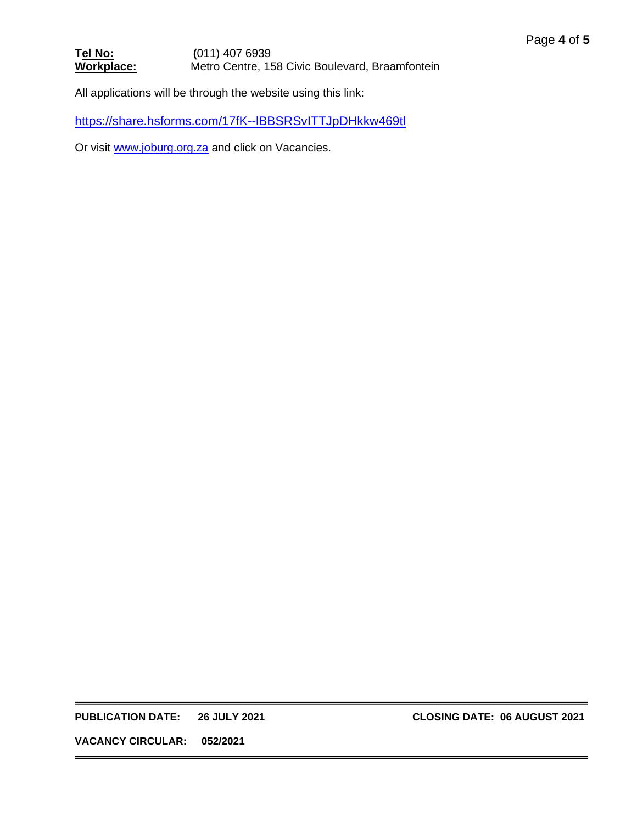#### **T<u>el No:</u> (011) 407 6939<br>
Workplace:** Metro Centre, 15 Metro Centre, 158 Civic Boulevard, Braamfontein

All applications will be through the website using this link:

<https://share.hsforms.com/17fK--lBBSRSvITTJpDHkkw469tl>

Or visit [www.joburg.org.za](http://www.joburg.org.za/) and click on Vacancies.

**PUBLICATION DATE: 26 JULY 2021 CLOSING DATE: 06 AUGUST 2021**